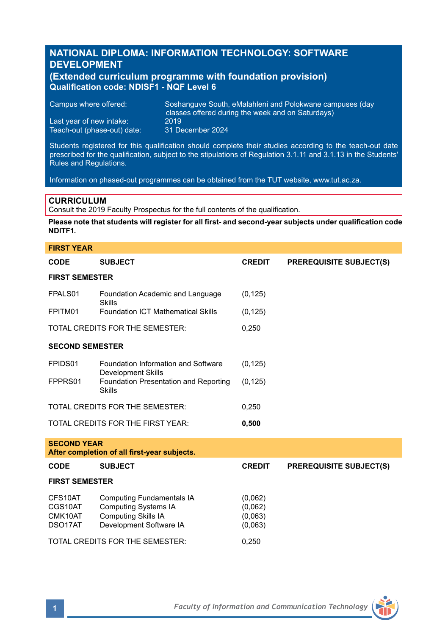# **NATIONAL DIPLOMA: INFORMATION TECHNOLOGY: SOFTWARE DEVELOPMENT**

### **(Extended curriculum programme with foundation provision) Qualification code: NDISF1 - NQF Level 6**

Campus where offered: Soshanguve South, eMalahleni and Polokwane campuses (day classes offered during the week and on Saturdays)<br>2019 Last year of new intake: 2019<br>Teach-out (phase-out) date: 31 December 2024 Teach-out (phase-out) date:

Students registered for this qualification should complete their studies according to the teach-out date prescribed for the qualification, subject to the stipulations of Regulation 3.1.11 and 3.1.13 in the Students' Rules and Regulations.

Information on phased-out programmes can be obtained from the TUT website, www.tut.ac.za.

### **CURRICULUM**

Consult the 2019 Faculty Prospectus for the full contents of the qualification.

**Please note that students will register for all first- and second-year subjects under qualification code NDITF1.**

# **FIRST YEAR CODE SUBJECT CREDIT PREREQUISITE SUBJECT(S) FIRST SEMESTER** FPALS01 Foundation Academic and Language (0,125) Skills FPITM01 Foundation ICT Mathematical Skills (0,125) TOTAL CREDITS FOR THE SEMESTER: 0,250 **SECOND SEMESTER** FPIDS01 Foundation Information and Software (0,125) Development Skills FPPRS01 Foundation Presentation and Reporting (0,125) Skills TOTAL CREDITS FOR THE SEMESTER: 0,250 TOTAL CREDITS FOR THE FIRST YEAR: **0,500 SECOND YEAR After completion of all first-year subjects. CODE SUBJECT CREDIT PREREQUISITE SUBJECT(S) FIRST SEMESTER** CFS10AT Computing Fundamentals IA (0,062) CGS10AT Computing Systems IA<br>CMK10AT Computing Skills IA Computing Skills IA (0,063) DSO17AT Development Software IA (0,063) TOTAL CREDITS FOR THE SEMESTER: 0,250

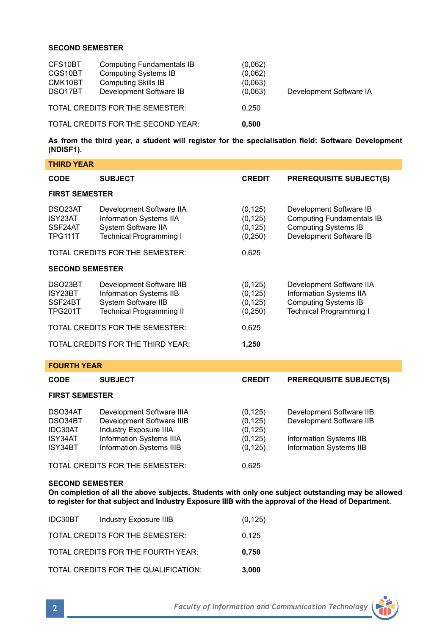### **SECOND SEMESTER**

| CFS10BT<br>CGS10BT<br>CMK10BT<br>DSO17BT | <b>Computing Fundamentals IB</b><br><b>Computing Systems IB</b><br><b>Computing Skills IB</b><br>Development Software IB | (0,062)<br>(0,062)<br>(0,063)<br>(0,063) | Development Software IA |
|------------------------------------------|--------------------------------------------------------------------------------------------------------------------------|------------------------------------------|-------------------------|
|                                          | TOTAL CREDITS FOR THE SEMESTER:                                                                                          | 0.250                                    |                         |
| TOTAL CREDITS FOR THE SECOND YEAR:       |                                                                                                                          | 0.500                                    |                         |

**As from the third year, a student will register for the specialisation field: Software Development (NDISF1).**

| <b>THIRD YEAR</b>                                   |                                                                                                                                                               |                                                          |                                                                                                                       |  |  |
|-----------------------------------------------------|---------------------------------------------------------------------------------------------------------------------------------------------------------------|----------------------------------------------------------|-----------------------------------------------------------------------------------------------------------------------|--|--|
| CODE                                                | <b>SUBJECT</b>                                                                                                                                                | <b>CREDIT</b>                                            | <b>PREREQUISITE SUBJECT(S)</b>                                                                                        |  |  |
| <b>FIRST SEMESTER</b>                               |                                                                                                                                                               |                                                          |                                                                                                                       |  |  |
| DSO23AT<br>ISY23AT<br>SSF24AT<br><b>TPG111T</b>     | Development Software IIA<br>Information Systems IIA<br>System Software IIA<br><b>Technical Programming I</b>                                                  | (0, 125)<br>(0, 125)<br>(0, 125)<br>(0, 250)             | Development Software IB<br><b>Computing Fundamentals IB</b><br><b>Computing Systems IB</b><br>Development Software IB |  |  |
|                                                     | TOTAL CREDITS FOR THE SEMESTER:                                                                                                                               | 0,625                                                    |                                                                                                                       |  |  |
| <b>SECOND SEMESTER</b>                              |                                                                                                                                                               |                                                          |                                                                                                                       |  |  |
| DSO23BT<br>ISY23BT<br>SSF24BT<br><b>TPG201T</b>     | Development Software IIB<br><b>Information Systems IIB</b><br><b>System Software IIB</b><br><b>Technical Programming II</b>                                   | (0, 125)<br>(0, 125)<br>(0, 125)<br>(0, 250)             | Development Software IIA<br>Information Systems IIA<br><b>Computing Systems IB</b><br><b>Technical Programming I</b>  |  |  |
| TOTAL CREDITS FOR THE SEMESTER:                     |                                                                                                                                                               | 0,625                                                    |                                                                                                                       |  |  |
| TOTAL CREDITS FOR THE THIRD YEAR:                   |                                                                                                                                                               | 1,250                                                    |                                                                                                                       |  |  |
| <b>FOURTH YEAR</b>                                  |                                                                                                                                                               |                                                          |                                                                                                                       |  |  |
| <b>CODE</b>                                         | <b>SUBJECT</b>                                                                                                                                                | <b>CREDIT</b>                                            | <b>PREREQUISITE SUBJECT(S)</b>                                                                                        |  |  |
| <b>FIRST SEMESTER</b>                               |                                                                                                                                                               |                                                          |                                                                                                                       |  |  |
| DSO34AT<br>DSO34BT<br>IDC30AT<br>ISY34AT<br>ISY34BT | Development Software IIIA<br>Development Software IIIB<br><b>Industry Exposure IIIA</b><br><b>Information Systems IIIA</b><br><b>Information Systems IIIB</b> | (0, 125)<br>(0, 125)<br>(0, 125)<br>(0, 125)<br>(0, 125) | Development Software IIB<br>Development Software IIB<br>Information Systems IIB<br>Information Systems IIB            |  |  |

TOTAL CREDITS FOR THE SEMESTER: 0,625

## **SECOND SEMESTER**

**On completion of all the above subjects. Students with only one subject outstanding may be allowed to register for that subject and Industry Exposure IIIB with the approval of the Head of Department.**

| IDC30BT | Industry Exposure IIIB               | (0, 125) |
|---------|--------------------------------------|----------|
|         | TOTAL CREDITS FOR THE SEMESTER:      | 0,125    |
|         | TOTAL CREDITS FOR THE FOURTH YEAR:   | 0.750    |
|         | TOTAL CREDITS FOR THE QUALIFICATION: | 3,000    |

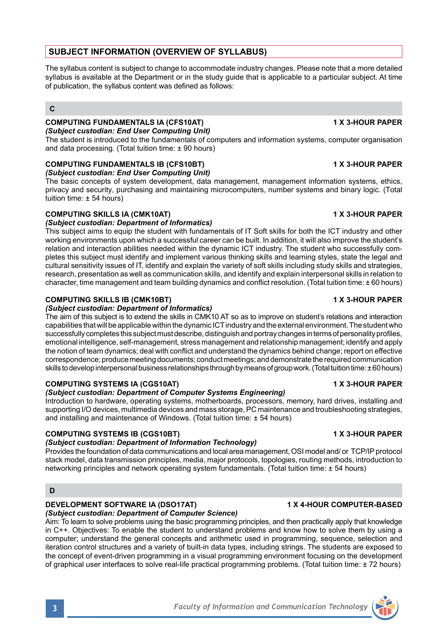# **SUBJECT INFORMATION (OVERVIEW OF SYLLABUS)**

The syllabus content is subject to change to accommodate industry changes. Please note that a more detailed syllabus is available at the Department or in the study guide that is applicable to a particular subject. At time of publication, the syllabus content was defined as follows:

### **C**

### **COMPUTING FUNDAMENTALS IA (CFS10AT) 1 X 3-HOUR PAPER** *(Subject custodian: End User Computing Unit)*

The student is introduced to the fundamentals of computers and information systems, computer organisation and data processing. (Total tuition time: ± 90 hours)

# **COMPUTING FUNDAMENTALS IB (CFS10BT) 1 X 3-HOUR PAPER**

*(Subject custodian: End User Computing Unit)*

The basic concepts of system development, data management, management information systems, ethics, privacy and security, purchasing and maintaining microcomputers, number systems and binary logic. (Total tuition time: ± 54 hours)

# **COMPUTING SKILLS IA (CMK10AT) 1 X 3-HOUR PAPER**

### *(Subject custodian: Department of Informatics)*

This subject aims to equip the student with fundamentals of IT Soft skills for both the ICT industry and other working environments upon which a successful career can be built. In addition, it will also improve the student's relation and interaction abilities needed within the dynamic ICT industry. The student who successfully completes this subject must identify and implement various thinking skills and learning styles, state the legal and cultural sensitivity issues of IT, identify and explain the variety of soft skills including study skills and strategies, research, presentation as well as communication skills, and identify and explain interpersonal skills in relation to character, time management and team building dynamics and conflict resolution. (Total tuition time: ± 60 hours)

### **COMPUTING SKILLS IB (CMK10BT) 1 X 3-HOUR PAPER**

### *(Subject custodian: Department of Informatics)*

The aim of this subject is to extend the skills in CMK10 AT so as to improve on student's relations and interaction capabilities that will be applicable within the dynamic ICT industry and the external environment. The student who successfully completes this subject must describe, distinguish and portray changes in terms of personality profiles, emotional intelligence, self-management, stress management and relationship management; identify and apply the notion of team dynamics; deal with conflict and understand the dynamics behind change; report on effective correspondence; produce meeting documents; conduct meetings; and demonstrate the required communication skills to develop interpersonal business relationships through by means of group work. (Total tuition time: ± 60 hours)

# **COMPUTING SYSTEMS IA (CGS10AT) 1 X 3-HOUR PAPER**

### *(Subject custodian: Department of Computer Systems Engineering)*

Introduction to hardware, operating systems, motherboards, processors, memory, hard drives, installing and supporting I/O devices, multimedia devices and mass storage, PC maintenance and troubleshooting strategies, and installing and maintenance of Windows. (Total tuition time: ± 54 hours)

# **COMPUTING SYSTEMS IB (CGS10BT) 1 X 3-HOUR PAPER**

### *(Subject custodian: Department of Information Technology)*

Provides the foundation of data communications and local area management, OSI model and/ or TCP/IP protocol stack model, data transmission principles, media, major protocols, topologies, routing methods, introduction to networking principles and network operating system fundamentals. (Total tuition time: ± 54 hours)

### **D**

# **DEVELOPMENT SOFTWARE IA (DSO17AT) 1 X 4-HOUR COMPUTER-BASED**

*(Subject custodian: Department of Computer Science)* Aim: To learn to solve problems using the basic programming principles, and then practically apply that knowledge in C++. Objectives: To enable the student to understand problems and know how to solve them by using a computer; understand the general concepts and arithmetic used in programming, sequence, selection and iteration control structures and a variety of built-in data types, including strings. The students are exposed to the concept of event-driven programming in a visual programming environment focusing on the development of graphical user interfaces to solve real-life practical programming problems. (Total tuition time: ± 72 hours)

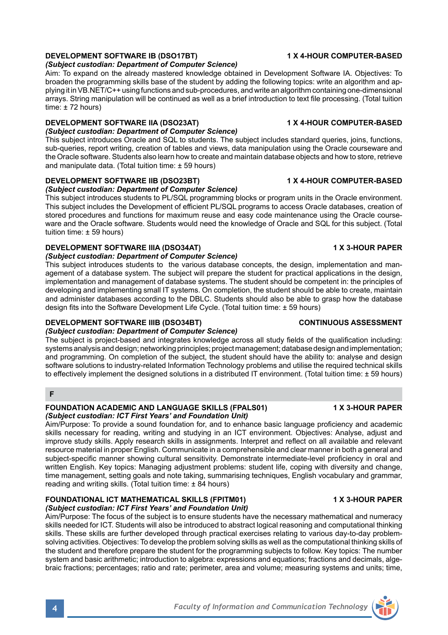# **DEVELOPMENT SOFTWARE IB (DSO17BT) 1 X 4-HOUR COMPUTER-BASED**

*(Subject custodian: Department of Computer Science)*

Aim: To expand on the already mastered knowledge obtained in Development Software IA. Objectives: To broaden the programming skills base of the student by adding the following topics: write an algorithm and applying it in VB.NET/C++ using functions and sub-procedures, and write an algorithm containing one-dimensional arrays. String manipulation will be continued as well as a brief introduction to text file processing. (Total tuition time: ± 72 hours)

### **DEVELOPMENT SOFTWARE IIA (DSO23AT) 1 X 4-HOUR COMPUTER-BASED**

*(Subject custodian: Department of Computer Science)*

This subject introduces Oracle and SQL to students. The subject includes standard queries, joins, functions, sub-queries, report writing, creation of tables and views, data manipulation using the Oracle courseware and the Oracle software. Students also learn how to create and maintain database objects and how to store, retrieve and manipulate data. (Total tuition time: ± 59 hours)

# **DEVELOPMENT SOFTWARE IIB (DSO23BT) 1 X 4-HOUR COMPUTER-BASED**

### *(Subject custodian: Department of Computer Science)*

This subject introduces students to PL/SQL programming blocks or program units in the Oracle environment. This subject includes the Development of efficient PL/SQL programs to access Oracle databases, creation of stored procedures and functions for maximum reuse and easy code maintenance using the Oracle courseware and the Oracle software. Students would need the knowledge of Oracle and SQL for this subject. (Total tuition time: ± 59 hours)

### **DEVELOPMENT SOFTWARE IIIA (DSO34AT) 1 X 3-HOUR PAPER**

### *(Subject custodian: Department of Computer Science)*

This subject introduces students to the various database concepts, the design, implementation and management of a database system. The subject will prepare the student for practical applications in the design, implementation and management of database systems. The student should be competent in: the principles of developing and implementing small IT systems. On completion, the student should be able to create, maintain and administer databases according to the DBLC. Students should also be able to grasp how the database design fits into the Software Development Life Cycle. (Total tuition time: ± 59 hours)

# **DEVELOPMENT SOFTWARE IIIB (DSO34BT) CONTINUOUS ASSESSMENT**

### *(Subject custodian: Department of Computer Science)*

The subject is project-based and integrates knowledge across all study fields of the qualification including: systems analysis and design; networking principles; project management; database design and implementation; and programming. On completion of the subject, the student should have the ability to: analyse and design software solutions to industry-related Information Technology problems and utilise the required technical skills to effectively implement the designed solutions in a distributed IT environment. (Total tuition time: ± 59 hours)

### **F**

### FOUNDATION ACADEMIC AND LANGUAGE SKILLS (FPALS01) 1X 3-HOUR PAPER *(Subject custodian: ICT First Years' and Foundation Unit)*

Aim/Purpose: To provide a sound foundation for, and to enhance basic language proficiency and academic skills necessary for reading, writing and studying in an ICT environment. Objectives: Analyse, adjust and improve study skills. Apply research skills in assignments. Interpret and reflect on all available and relevant resource material in proper English. Communicate in a comprehensible and clear manner in both a general and subject-specific manner showing cultural sensitivity. Demonstrate intermediate-level proficiency in oral and written English. Key topics: Managing adjustment problems: student life, coping with diversity and change, time management, setting goals and note taking, summarising techniques, English vocabulary and grammar, reading and writing skills. (Total tuition time: ± 84 hours)

### **FOUNDATIONAL ICT MATHEMATICAL SKILLS (FPITM01) 1 X 3-HOUR PAPER** *(Subject custodian: ICT First Years' and Foundation Unit)*

Aim/Purpose: The focus of the subject is to ensure students have the necessary mathematical and numeracy skills needed for ICT. Students will also be introduced to abstract logical reasoning and computational thinking skills. These skills are further developed through practical exercises relating to various day-to-day problemsolving activities. Objectives: To develop the problem solving skills as well as the computational thinking skills of the student and therefore prepare the student for the programming subjects to follow. Key topics: The number system and basic arithmetic; introduction to algebra: expressions and equations; fractions and decimals, algebraic fractions; percentages; ratio and rate; perimeter, area and volume; measuring systems and units; time,

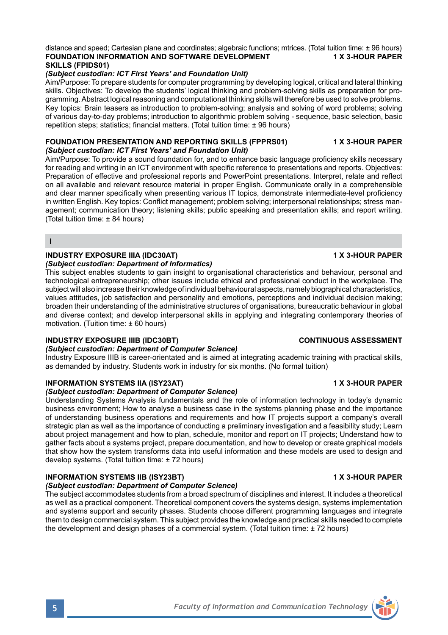### distance and speed; Cartesian plane and coordinates; algebraic functions; mtrices. (Total tuition time: ± 96 hours)<br>FOUNDATION INFORMATION AND SOFTWARE DEVELOPMENT 1 X 3-HOUR PAPER **FOUNDATION INFORMATION AND SOFTWARE DEVELOPMENT SKILLS (FPIDS01)**

# *(Subject custodian: ICT First Years' and Foundation Unit)*

Aim/Purpose: To prepare students for computer programming by developing logical, critical and lateral thinking skills. Objectives: To develop the students' logical thinking and problem-solving skills as preparation for programming. Abstract logical reasoning and computational thinking skills will therefore be used to solve problems. Key topics: Brain teasers as introduction to problem-solving; analysis and solving of word problems; solving of various day-to-day problems; introduction to algorithmic problem solving - sequence, basic selection, basic repetition steps; statistics; financial matters. (Total tuition time: ± 96 hours)

### **FOUNDATION PRESENTATION AND REPORTING SKILLS (FPPRS01) 1 X 3-HOUR PAPER** *(Subject custodian: ICT First Years' and Foundation Unit)*

Aim/Purpose: To provide a sound foundation for, and to enhance basic language proficiency skills necessary for reading and writing in an ICT environment with specific reference to presentations and reports. Objectives: Preparation of effective and professional reports and PowerPoint presentations. Interpret, relate and reflect on all available and relevant resource material in proper English. Communicate orally in a comprehensible and clear manner specifically when presenting various IT topics, demonstrate intermediate-level proficiency in written English. Key topics: Conflict management; problem solving; interpersonal relationships; stress management; communication theory; listening skills; public speaking and presentation skills; and report writing. (Total tuition time: ± 84 hours)

**I**

## **INDUSTRY EXPOSURE IIIA (IDC30AT) 1 X 3-HOUR PAPER**

### *(Subject custodian: Department of Informatics)*

This subject enables students to gain insight to organisational characteristics and behaviour, personal and technological entrepreneurship; other issues include ethical and professional conduct in the workplace. The subject will also increase their knowledge of individual behavioural aspects, namely biographical characteristics, values attitudes, job satisfaction and personality and emotions, perceptions and individual decision making; broaden their understanding of the administrative structures of organisations, bureaucratic behaviour in global and diverse context; and develop interpersonal skills in applying and integrating contemporary theories of motivation. (Tuition time: ± 60 hours)

### **INDUSTRY EXPOSURE IIIB (IDC30BT) CONTINUOUS ASSESSMENT**

### *(Subject custodian: Department of Computer Science)*

Industry Exposure IIIB is career-orientated and is aimed at integrating academic training with practical skills, as demanded by industry. Students work in industry for six months. (No formal tuition)

### **INFORMATION SYSTEMS IIA (ISY23AT) 1 X 3-HOUR PAPER**

### *(Subject custodian: Department of Computer Science)*

Understanding Systems Analysis fundamentals and the role of information technology in today's dynamic business environment; How to analyse a business case in the systems planning phase and the importance of understanding business operations and requirements and how IT projects support a company's overall strategic plan as well as the importance of conducting a preliminary investigation and a feasibility study; Learn about project management and how to plan, schedule, monitor and report on IT projects; Understand how to gather facts about a systems project, prepare documentation, and how to develop or create graphical models that show how the system transforms data into useful information and these models are used to design and develop systems. (Total tuition time: ± 72 hours)

# **INFORMATION SYSTEMS IIB (ISY23BT) 1 X 3-HOUR PAPER**

### *(Subject custodian: Department of Computer Science)*

The subject accommodates students from a broad spectrum of disciplines and interest. It includes a theoretical as well as a practical component. Theoretical component covers the systems design, systems implementation and systems support and security phases. Students choose different programming languages and integrate them to design commercial system. This subject provides the knowledge and practical skills needed to complete the development and design phases of a commercial system. (Total tuition time: ± 72 hours)